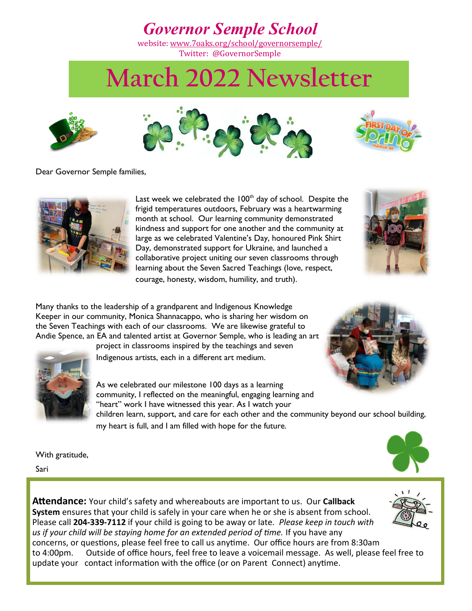### *Governor Semple School*

website: [www.7oaks.org/school/governorsemple/](http://www.7oaks.org/school/governorsemple/)  Twitter: @GovernorSemple

## **March 2022 Newsletter**







#### Dear Governor Semple families,



Last week we celebrated the 100<sup>th</sup> day of school. Despite the frigid temperatures outdoors, February was a heartwarming month at school. Our learning community demonstrated kindness and support for one another and the community at large as we celebrated Valentine's Day, honoured Pink Shirt Day, demonstrated support for Ukraine, and launched a collaborative project uniting our seven classrooms through learning about the Seven Sacred Teachings (love, respect, courage, honesty, wisdom, humility, and truth).



Many thanks to the leadership of a grandparent and Indigenous Knowledge Keeper in our community, Monica Shannacappo, who is sharing her wisdom on the Seven Teachings with each of our classrooms. We are likewise grateful to Andie Spence, an EA and talented artist at Governor Semple, who is leading an art



As we celebrated our milestone 100 days as a learning community, I reflected on the meaningful, engaging learning and "heart" work I have witnessed this year. As I watch your

children learn, support, and care for each other and the community beyond our school building, my heart is full, and I am filled with hope for the future.



With gratitude,

Sari





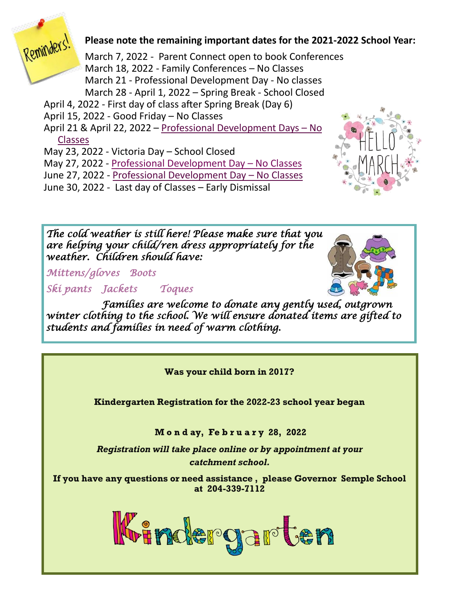

#### **Please note the remaining important dates for the 2021-2022 School Year:**

March 7, 2022 - Parent Connect open to book Conferences March 18, 2022 - Family Conferences – No Classes March 21 - Professional Development Day - No classes March 28 - April 1, 2022 – Spring Break - School Closed April 4, 2022 - First day of class after Spring Break (Day 6)

April 15, 2022 - Good Friday – No Classes

April 21 & April 22, 2022 – Professional Development Days – No Classes

- May 23, 2022 Victoria Day School Closed
- May 27, 2022 Professional Development Day No Classes
- June 27, 2022 Professional Development Day No Classes
- June 30, 2022 Last day of Classes Early Dismissal



*The cold weather is still here! Please make sure that you are helping your child/ren dress appropriately for the weather. Children should have:*

*Mittens/gloves Boots* 

*Ski pants Jackets Toques* 

*Families are welcome to donate any gently used, outgrown winter clothing to the school. We will ensure donated items are gifted to students and families in need of warm clothing.*

**Was your child born in 2017?**

**Kindergarten Registration for the 2022-23 school year began**

Monday, February 28, 2022

*Registration will take place online or by appointment at your catchment school.* 

**If you have any questions or need assistance , please Governor Semple School at 204-339-7112**